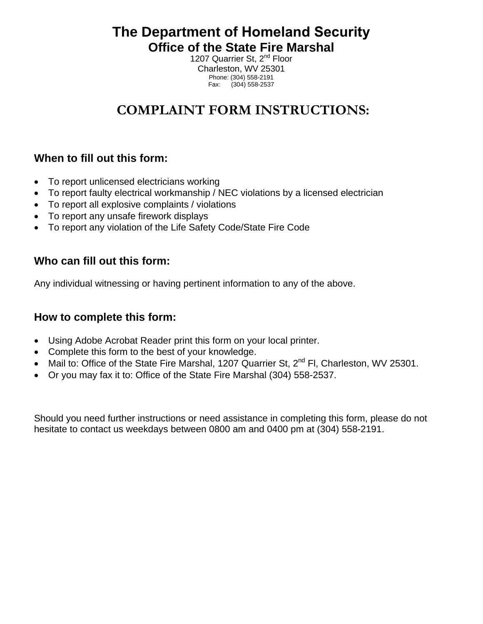**The Department of Homeland Security Office of the State Fire Marshal** 

1207 Quarrier St, 2<sup>nd</sup> Floor Charleston, WV 25301 Phone: (304) 558-2191 Fax: (304) 558-2537

# **COMPLAINT FORM INSTRUCTIONS:**

### **When to fill out this form:**

- To report unlicensed electricians working
- To report faulty electrical workmanship / NEC violations by a licensed electrician
- To report all explosive complaints / violations
- To report any unsafe firework displays
- To report any violation of the Life Safety Code/State Fire Code

### **Who can fill out this form:**

Any individual witnessing or having pertinent information to any of the above.

#### **How to complete this form:**

- Using Adobe Acrobat Reader print this form on your local printer.
- Complete this form to the best of your knowledge.
- Mail to: Office of the State Fire Marshal, 1207 Quarrier St, 2<sup>nd</sup> Fl, Charleston, WV 25301.
- Or you may fax it to: Office of the State Fire Marshal (304) 558-2537.

Should you need further instructions or need assistance in completing this form, please do not hesitate to contact us weekdays between 0800 am and 0400 pm at (304) 558-2191.